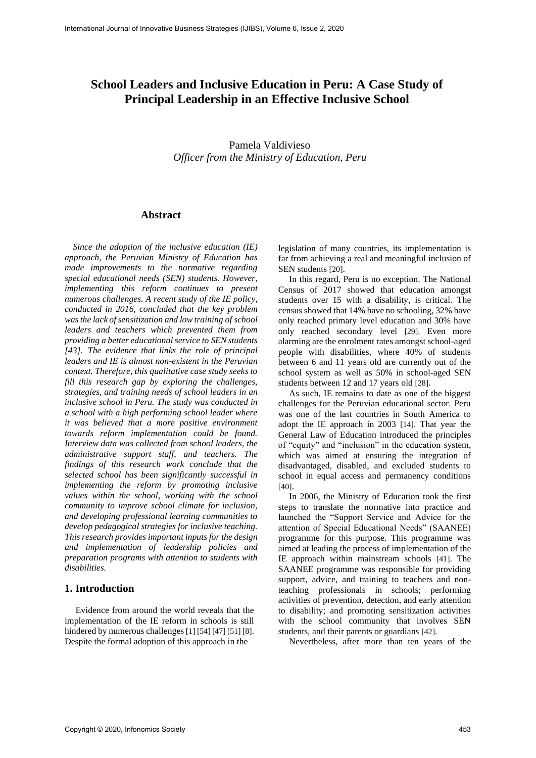# **School Leaders and Inclusive Education in Peru: A Case Study of Principal Leadership in an Effective Inclusive School**

# Pamela Valdivieso *Officer from the Ministry of Education, Peru*

## **Abstract**

*Since the adoption of the inclusive education (IE) approach, the Peruvian Ministry of Education has made improvements to the normative regarding special educational needs (SEN) students. However, implementing this reform continues to present numerous challenges. A recent study of the IE policy, conducted in 2016, concluded that the key problem wasthe lack ofsensitization and low training of school leaders and teachers which prevented them from providing a better educational service to SEN students [43]. The evidence that links the role of principal leaders and IE is almost non-existent in the Peruvian context. Therefore, this qualitative case study seeks to fill this research gap by exploring the challenges, strategies, and training needs of school leaders in an inclusive school in Peru. The study was conducted in a school with a high performing school leader where it was believed that a more positive environment towards reform implementation could be found. Interview data was collected from school leaders, the administrative support staff, and teachers. The findings of this research work conclude that the selected school has been significantly successful in implementing the reform by promoting inclusive values within the school, working with the school community to improve school climate for inclusion, and developing professional learning communities to develop pedagogical strategies for inclusive teaching. This research provides important inputs for the design and implementation of leadership policies and preparation programs with attention to students with disabilities.*

## **1. Introduction**

Evidence from around the world reveals that the implementation of the IE reform in schools is still hindered by numerous challenges [1] [54] [47] [51] [8]. Despite the formal adoption of this approach in the

legislation of many countries, its implementation is far from achieving a real and meaningful inclusion of SEN students [20].

In this regard, Peru is no exception. The National Census of 2017 showed that education amongst students over 15 with a disability, is critical. The census showed that 14% have no schooling, 32% have only reached primary level education and 30% have only reached secondary level [29]. Even more alarming are the enrolment rates amongst school-aged people with disabilities, where 40% of students between 6 and 11 years old are currently out of the school system as well as 50% in school-aged SEN students between 12 and 17 years old [28].

As such, IE remains to date as one of the biggest challenges for the Peruvian educational sector. Peru was one of the last countries in South America to adopt the IE approach in 2003 [14]. That year the General Law of Education introduced the principles of "equity" and "inclusion" in the education system, which was aimed at ensuring the integration of disadvantaged, disabled, and excluded students to school in equal access and permanency conditions [40].

In 2006, the Ministry of Education took the first steps to translate the normative into practice and launched the "Support Service and Advice for the attention of Special Educational Needs" (SAANEE) programme for this purpose. This programme was aimed at leading the process of implementation of the IE approach within mainstream schools [41]. The SAANEE programme was responsible for providing support, advice, and training to teachers and nonteaching professionals in schools; performing activities of prevention, detection, and early attention to disability; and promoting sensitization activities with the school community that involves SEN students, and their parents or guardians [42].

Nevertheless, after more than ten years of the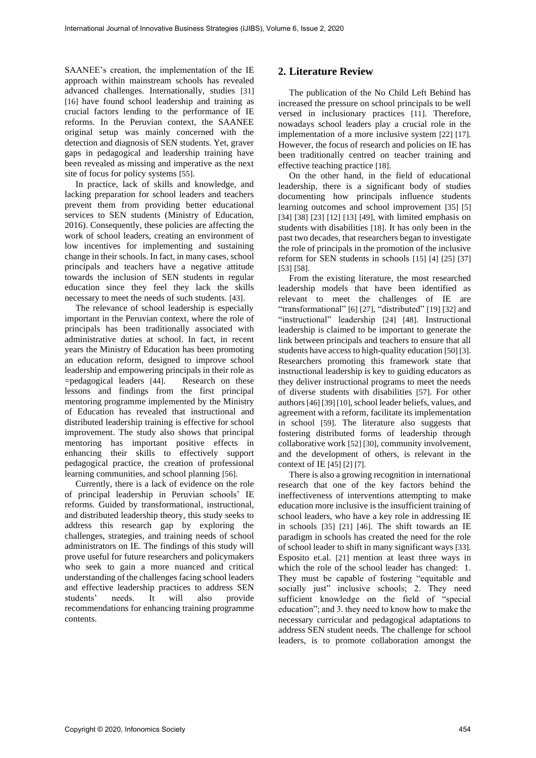SAANEE's creation, the implementation of the IE approach within mainstream schools has revealed advanced challenges. Internationally, studies [31] [16] have found school leadership and training as crucial factors lending to the performance of IE reforms. In the Peruvian context, the SAANEE original setup was mainly concerned with the detection and diagnosis of SEN students. Yet, graver gaps in pedagogical and leadership training have been revealed as missing and imperative as the next site of focus for policy systems [55].

In practice, lack of skills and knowledge, and lacking preparation for school leaders and teachers prevent them from providing better educational services to SEN students (Ministry of Education, 2016). Consequently, these policies are affecting the work of school leaders, creating an environment of low incentives for implementing and sustaining change in their schools. In fact, in many cases, school principals and teachers have a negative attitude towards the inclusion of SEN students in regular education since they feel they lack the skills necessary to meet the needs of such students. [43].

The relevance of school leadership is especially important in the Peruvian context, where the role of principals has been traditionally associated with administrative duties at school. In fact, in recent years the Ministry of Education has been promoting an education reform, designed to improve school leadership and empowering principals in their role as =pedagogical leaders [44]. Research on these lessons and findings from the first principal mentoring programme implemented by the Ministry of Education has revealed that instructional and distributed leadership training is effective for school improvement. The study also shows that principal mentoring has important positive effects in enhancing their skills to effectively support pedagogical practice, the creation of professional learning communities, and school planning [56].

Currently, there is a lack of evidence on the role of principal leadership in Peruvian schools' IE reforms. Guided by transformational, instructional, and distributed leadership theory, this study seeks to address this research gap by exploring the challenges, strategies, and training needs of school administrators on IE. The findings of this study will prove useful for future researchers and policymakers who seek to gain a more nuanced and critical understanding of the challenges facing school leaders and effective leadership practices to address SEN students' needs. It will also provide recommendations for enhancing training programme contents.

# **2. Literature Review**

The publication of the No Child Left Behind has increased the pressure on school principals to be well versed in inclusionary practices [11]. Therefore, nowadays school leaders play a crucial role in the implementation of a more inclusive system [22] [17]. However, the focus of research and policies on IE has been traditionally centred on teacher training and effective teaching practice [18].

On the other hand, in the field of educational leadership, there is a significant body of studies documenting how principals influence students learning outcomes and school improvement [35] [5] [34] [38] [23] [12] [13] [49], with limited emphasis on students with disabilities [18]. It has only been in the past two decades, that researchers began to investigate the role of principals in the promotion of the inclusive reform for SEN students in schools [15] [4] [25] [37] [53] [58].

From the existing literature, the most researched leadership models that have been identified as relevant to meet the challenges of IE are "transformational" [6] [27], "distributed" [19] [32] and "instructional" leadership [24] [48]. Instructional leadership is claimed to be important to generate the link between principals and teachers to ensure that all students have access to high-quality education [50] [3]. Researchers promoting this framework state that instructional leadership is key to guiding educators as they deliver instructional programs to meet the needs of diverse students with disabilities [57]. For other authors [46] [39] [10], school leader beliefs, values, and agreement with a reform, facilitate its implementation in school [59]. The literature also suggests that fostering distributed forms of leadership through collaborative work [52] [30], community involvement, and the development of others, is relevant in the context of IE [45] [2] [7].

There is also a growing recognition in international research that one of the key factors behind the ineffectiveness of interventions attempting to make education more inclusive is the insufficient training of school leaders, who have a key role in addressing IE in schools [35] [21] [46]. The shift towards an IE paradigm in schools has created the need for the role of school leader to shift in many significant ways [33]. Esposito et.al. [21] mention at least three ways in which the role of the school leader has changed: 1. They must be capable of fostering "equitable and socially just" inclusive schools; 2. They need sufficient knowledge on the field of "special education"; and 3. they need to know how to make the necessary curricular and pedagogical adaptations to address SEN student needs. The challenge for school leaders, is to promote collaboration amongst the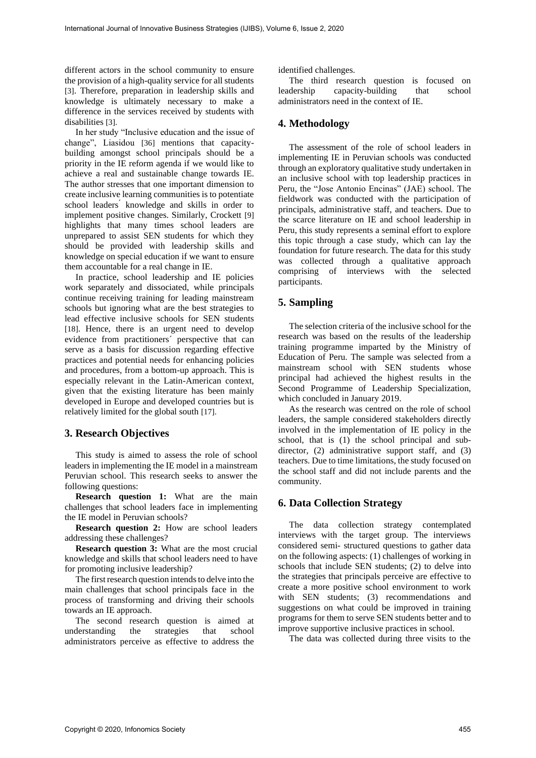different actors in the school community to ensure the provision of a high-quality service for all students [3]. Therefore, preparation in leadership skills and knowledge is ultimately necessary to make a difference in the services received by students with disabilities [3].

In her study "Inclusive education and the issue of change", Liasidou [36] mentions that capacitybuilding amongst school principals should be a priority in the IE reform agenda if we would like to achieve a real and sustainable change towards IE. The author stresses that one important dimension to create inclusive learning communities is to potentiate school leaders<sup>'</sup> knowledge and skills in order to implement positive changes. Similarly, Crockett [9] highlights that many times school leaders are unprepared to assist SEN students for which they should be provided with leadership skills and knowledge on special education if we want to ensure them accountable for a real change in IE.

In practice, school leadership and IE policies work separately and dissociated, while principals continue receiving training for leading mainstream schools but ignoring what are the best strategies to lead effective inclusive schools for SEN students [18]. Hence, there is an urgent need to develop evidence from practitioners´ perspective that can serve as a basis for discussion regarding effective practices and potential needs for enhancing policies and procedures, from a bottom-up approach. This is especially relevant in the Latin-American context, given that the existing literature has been mainly developed in Europe and developed countries but is relatively limited for the global south [17].

# **3. Research Objectives**

This study is aimed to assess the role of school leaders in implementing the IE model in a mainstream Peruvian school. This research seeks to answer the following questions:

**Research question 1:** What are the main challenges that school leaders face in implementing the IE model in Peruvian schools?

**Research question 2:** How are school leaders addressing these challenges?

**Research question 3:** What are the most crucial knowledge and skills that school leaders need to have for promoting inclusive leadership?

The first research question intends to delve into the main challenges that school principals face in the process of transforming and driving their schools towards an IE approach.

The second research question is aimed at understanding the strategies that school administrators perceive as effective to address the

identified challenges.

The third research question is focused on leadership capacity-building that school administrators need in the context of IE.

## **4. Methodology**

The assessment of the role of school leaders in implementing IE in Peruvian schools was conducted through an exploratory qualitative study undertaken in an inclusive school with top leadership practices in Peru, the "Jose Antonio Encinas" (JAE) school. The fieldwork was conducted with the participation of principals, administrative staff, and teachers. Due to the scarce literature on IE and school leadership in Peru, this study represents a seminal effort to explore this topic through a case study, which can lay the foundation for future research. The data for this study was collected through a qualitative approach comprising of interviews with the selected participants.

#### **5. Sampling**

The selection criteria of the inclusive school for the research was based on the results of the leadership training programme imparted by the Ministry of Education of Peru. The sample was selected from a mainstream school with SEN students whose principal had achieved the highest results in the Second Programme of Leadership Specialization, which concluded in January 2019.

As the research was centred on the role of school leaders, the sample considered stakeholders directly involved in the implementation of IE policy in the school, that is (1) the school principal and subdirector, (2) administrative support staff, and (3) teachers. Due to time limitations, the study focused on the school staff and did not include parents and the community.

#### **6. Data Collection Strategy**

The data collection strategy contemplated interviews with the target group. The interviews considered semi- structured questions to gather data on the following aspects: (1) challenges of working in schools that include SEN students; (2) to delve into the strategies that principals perceive are effective to create a more positive school environment to work with SEN students; (3) recommendations and suggestions on what could be improved in training programs for them to serve SEN students better and to improve supportive inclusive practices in school.

The data was collected during three visits to the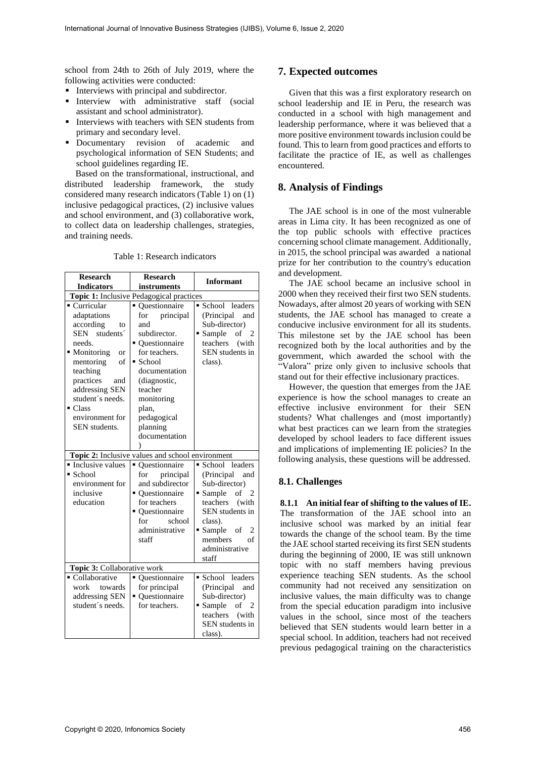school from 24th to 26th of July 2019, where the following activities were conducted:

- Interviews with principal and subdirector.
- Interview with administrative staff (social assistant and school administrator).
- Interviews with teachers with SEN students from primary and secondary level.
- Documentary revision of academic and psychological information of SEN Students; and school guidelines regarding IE.

Based on the transformational, instructional, and distributed leadership framework, the study considered many research indicators (Table 1) on (1) inclusive pedagogical practices, (2) inclusive values and school environment, and (3) collaborative work, to collect data on leadership challenges, strategies, and training needs.

| <b>Research</b>                                                                                                                                                                                                                                                             | <b>Research</b>                                                                                                                                                                                                                                                                                    | <b>Informant</b>                                                                                                                                                                            |
|-----------------------------------------------------------------------------------------------------------------------------------------------------------------------------------------------------------------------------------------------------------------------------|----------------------------------------------------------------------------------------------------------------------------------------------------------------------------------------------------------------------------------------------------------------------------------------------------|---------------------------------------------------------------------------------------------------------------------------------------------------------------------------------------------|
| <b>Indicators</b><br>instruments                                                                                                                                                                                                                                            |                                                                                                                                                                                                                                                                                                    |                                                                                                                                                                                             |
| ■ Curricular<br>adaptations<br>according<br>to<br>SEN students <sup>2</sup><br>needs.<br>• Monitoring<br><sub>or</sub><br>mentoring<br>of<br>teaching<br>practices<br>and<br>addressing SEN<br>student's needs.<br>$\blacksquare$ Class<br>environment for<br>SEN students. | Topic 1: Inclusive Pedagogical practices<br>Ouestionnaire<br>$\blacksquare$<br>principal<br>for<br>and<br>subdirector.<br>• Ouestionnaire<br>for teachers.<br>$\blacksquare$ School<br>documentation<br>(diagnostic,<br>teacher<br>monitoring<br>plan,<br>pedagogical<br>planning<br>documentation | School leaders<br>(Principal<br>and<br>Sub-director)<br>Sample of<br>2<br>teachers (with<br>SEN students in<br>class).                                                                      |
|                                                                                                                                                                                                                                                                             |                                                                                                                                                                                                                                                                                                    |                                                                                                                                                                                             |
| Topic 2: Inclusive values and school environment                                                                                                                                                                                                                            |                                                                                                                                                                                                                                                                                                    |                                                                                                                                                                                             |
| • Inclusive values<br>■ School<br>environment for<br>inclusive<br>education<br>Topic 3: Collaborative work                                                                                                                                                                  | Questionnaire<br>$\blacksquare$<br>principal<br>for<br>and subdirector<br>• Ouestionnaire<br>for teachers<br>• Ouestionnaire<br>for<br>school<br>administrative<br>staff                                                                                                                           | School leaders<br>(Principal)<br>and<br>Sub-director)<br>Sample of<br>- 2<br>teachers<br>(with)<br>SEN students in<br>class).<br>Sample of<br>2<br>members<br>of<br>administrative<br>staff |
| • Collaborative                                                                                                                                                                                                                                                             | Questionnaire<br>٠                                                                                                                                                                                                                                                                                 | School •<br>leaders                                                                                                                                                                         |
| work<br>towards<br>addressing SEN<br>student's needs.                                                                                                                                                                                                                       | for principal<br>• Questionnaire<br>for teachers.                                                                                                                                                                                                                                                  | (Principal<br>and<br>Sub-director)<br>Sample of 2<br>teachers (with<br>SEN students in<br>class).                                                                                           |

Table 1: Research indicators

# **7. Expected outcomes**

Given that this was a first exploratory research on school leadership and IE in Peru, the research was conducted in a school with high management and leadership performance, where it was believed that a more positive environment towards inclusion could be found. This to learn from good practices and efforts to facilitate the practice of IE, as well as challenges encountered.

# **8. Analysis of Findings**

The JAE school is in one of the most vulnerable areas in Lima city. It has been recognized as one of the top public schools with effective practices concerning school climate management. Additionally, in 2015, the school principal was awarded a national prize for her contribution to the country's education and development.

The JAE school became an inclusive school in 2000 when they received their first two SEN students. Nowadays, after almost 20 years of working with SEN students, the JAE school has managed to create a conducive inclusive environment for all its students. This milestone set by the JAE school has been recognized both by the local authorities and by the government, which awarded the school with the "Valora" prize only given to inclusive schools that stand out for their effective inclusionary practices.

However, the question that emerges from the JAE experience is how the school manages to create an effective inclusive environment for their SEN students? What challenges and (most importantly) what best practices can we learn from the strategies developed by school leaders to face different issues and implications of implementing IE policies? In the following analysis, these questions will be addressed.

#### **8.1. Challenges**

**8.1.1 An initial fear of shifting to the values of IE.** The transformation of the JAE school into an inclusive school was marked by an initial fear towards the change of the school team. By the time the JAE school started receiving its first SEN students during the beginning of 2000, IE was still unknown topic with no staff members having previous experience teaching SEN students. As the school community had not received any sensitization on inclusive values, the main difficulty was to change from the special education paradigm into inclusive values in the school, since most of the teachers believed that SEN students would learn better in a special school. In addition, teachers had not received previous pedagogical training on the characteristics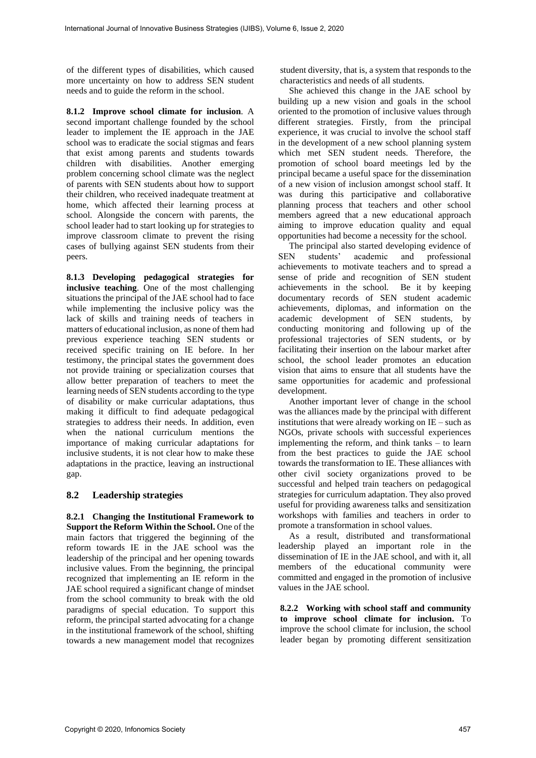of the different types of disabilities, which caused more uncertainty on how to address SEN student needs and to guide the reform in the school.

**8.1.2 Improve school climate for inclusion**. A second important challenge founded by the school leader to implement the IE approach in the JAE school was to eradicate the social stigmas and fears that exist among parents and students towards children with disabilities. Another emerging problem concerning school climate was the neglect of parents with SEN students about how to support their children, who received inadequate treatment at home, which affected their learning process at school. Alongside the concern with parents, the school leader had to start looking up for strategies to improve classroom climate to prevent the rising cases of bullying against SEN students from their peers.

**8.1.3 Developing pedagogical strategies for inclusive teaching**. One of the most challenging situations the principal of the JAE school had to face while implementing the inclusive policy was the lack of skills and training needs of teachers in matters of educational inclusion, as none of them had previous experience teaching SEN students or received specific training on IE before. In her testimony, the principal states the government does not provide training or specialization courses that allow better preparation of teachers to meet the learning needs of SEN students according to the type of disability or make curricular adaptations, thus making it difficult to find adequate pedagogical strategies to address their needs. In addition, even when the national curriculum mentions the importance of making curricular adaptations for inclusive students, it is not clear how to make these adaptations in the practice, leaving an instructional gap.

### **8.2 Leadership strategies**

**8.2.1 Changing the Institutional Framework to Support the Reform Within the School.** One of the main factors that triggered the beginning of the reform towards IE in the JAE school was the leadership of the principal and her opening towards inclusive values. From the beginning, the principal recognized that implementing an IE reform in the JAE school required a significant change of mindset from the school community to break with the old paradigms of special education. To support this reform, the principal started advocating for a change in the institutional framework of the school, shifting towards a new management model that recognizes student diversity, that is, a system that responds to the characteristics and needs of all students.

She achieved this change in the JAE school by building up a new vision and goals in the school oriented to the promotion of inclusive values through different strategies. Firstly, from the principal experience, it was crucial to involve the school staff in the development of a new school planning system which met SEN student needs. Therefore, the promotion of school board meetings led by the principal became a useful space for the dissemination of a new vision of inclusion amongst school staff. It was during this participative and collaborative planning process that teachers and other school members agreed that a new educational approach aiming to improve education quality and equal opportunities had become a necessity for the school.

The principal also started developing evidence of SEN students' academic and professional achievements to motivate teachers and to spread a sense of pride and recognition of SEN student achievements in the school. Be it by keeping documentary records of SEN student academic achievements, diplomas, and information on the academic development of SEN students, by conducting monitoring and following up of the professional trajectories of SEN students, or by facilitating their insertion on the labour market after school, the school leader promotes an education vision that aims to ensure that all students have the same opportunities for academic and professional development.

Another important lever of change in the school was the alliances made by the principal with different institutions that were already working on IE – such as NGOs, private schools with successful experiences implementing the reform, and think tanks – to learn from the best practices to guide the JAE school towards the transformation to IE. These alliances with other civil society organizations proved to be successful and helped train teachers on pedagogical strategies for curriculum adaptation. They also proved useful for providing awareness talks and sensitization workshops with families and teachers in order to promote a transformation in school values.

As a result, distributed and transformational leadership played an important role in the dissemination of IE in the JAE school, and with it, all members of the educational community were committed and engaged in the promotion of inclusive values in the JAE school.

**8.2.2 Working with school staff and community to improve school climate for inclusion.** To improve the school climate for inclusion, the school leader began by promoting different sensitization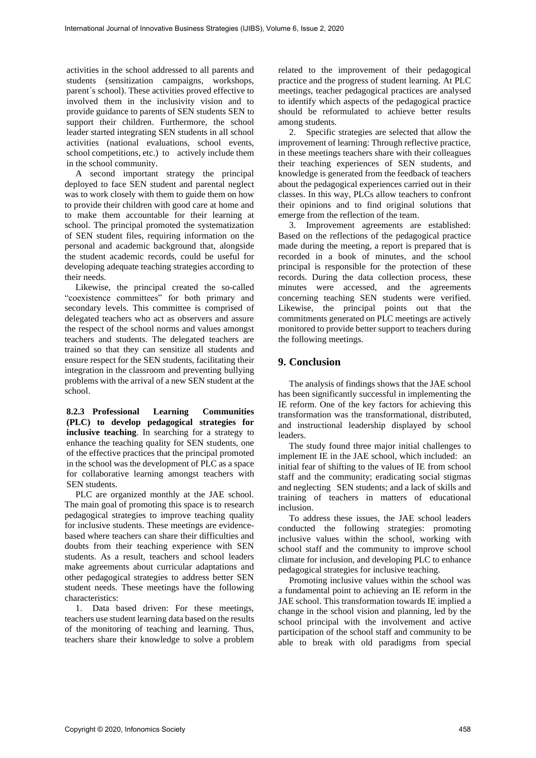activities in the school addressed to all parents and students (sensitization campaigns, workshops, parent´s school). These activities proved effective to involved them in the inclusivity vision and to provide guidance to parents of SEN students SEN to support their children. Furthermore, the school leader started integrating SEN students in all school activities (national evaluations, school events, school competitions, etc.) to actively include them in the school community.

A second important strategy the principal deployed to face SEN student and parental neglect was to work closely with them to guide them on how to provide their children with good care at home and to make them accountable for their learning at school. The principal promoted the systematization of SEN student files, requiring information on the personal and academic background that, alongside the student academic records, could be useful for developing adequate teaching strategies according to their needs.

Likewise, the principal created the so-called "coexistence committees" for both primary and secondary levels. This committee is comprised of delegated teachers who act as observers and assure the respect of the school norms and values amongst teachers and students. The delegated teachers are trained so that they can sensitize all students and ensure respect for the SEN students, facilitating their integration in the classroom and preventing bullying problems with the arrival of a new SEN student at the school.

**8.2.3 Professional Learning Communities (PLC) to develop pedagogical strategies for inclusive teaching**. In searching for a strategy to enhance the teaching quality for SEN students, one of the effective practices that the principal promoted in the school was the development of PLC as a space for collaborative learning amongst teachers with SEN students.

PLC are organized monthly at the JAE school. The main goal of promoting this space is to research pedagogical strategies to improve teaching quality for inclusive students. These meetings are evidencebased where teachers can share their difficulties and doubts from their teaching experience with SEN students. As a result, teachers and school leaders make agreements about curricular adaptations and other pedagogical strategies to address better SEN student needs. These meetings have the following characteristics:

1. Data based driven: For these meetings, teachers use student learning data based on the results of the monitoring of teaching and learning. Thus, teachers share their knowledge to solve a problem related to the improvement of their pedagogical practice and the progress of student learning. At PLC meetings, teacher pedagogical practices are analysed to identify which aspects of the pedagogical practice should be reformulated to achieve better results among students.

2. Specific strategies are selected that allow the improvement of learning: Through reflective practice, in these meetings teachers share with their colleagues their teaching experiences of SEN students, and knowledge is generated from the feedback of teachers about the pedagogical experiences carried out in their classes. In this way, PLCs allow teachers to confront their opinions and to find original solutions that emerge from the reflection of the team.

3. Improvement agreements are established: Based on the reflections of the pedagogical practice made during the meeting, a report is prepared that is recorded in a book of minutes, and the school principal is responsible for the protection of these records. During the data collection process, these minutes were accessed, and the agreements concerning teaching SEN students were verified. Likewise, the principal points out that the commitments generated on PLC meetings are actively monitored to provide better support to teachers during the following meetings.

### **9. Conclusion**

The analysis of findings shows that the JAE school has been significantly successful in implementing the IE reform. One of the key factors for achieving this transformation was the transformational, distributed, and instructional leadership displayed by school leaders.

The study found three major initial challenges to implement IE in the JAE school, which included: an initial fear of shifting to the values of IE from school staff and the community; eradicating social stigmas and neglecting SEN students; and a lack of skills and training of teachers in matters of educational inclusion.

To address these issues, the JAE school leaders conducted the following strategies: promoting inclusive values within the school, working with school staff and the community to improve school climate for inclusion, and developing PLC to enhance pedagogical strategies for inclusive teaching.

Promoting inclusive values within the school was a fundamental point to achieving an IE reform in the JAE school. This transformation towards IE implied a change in the school vision and planning, led by the school principal with the involvement and active participation of the school staff and community to be able to break with old paradigms from special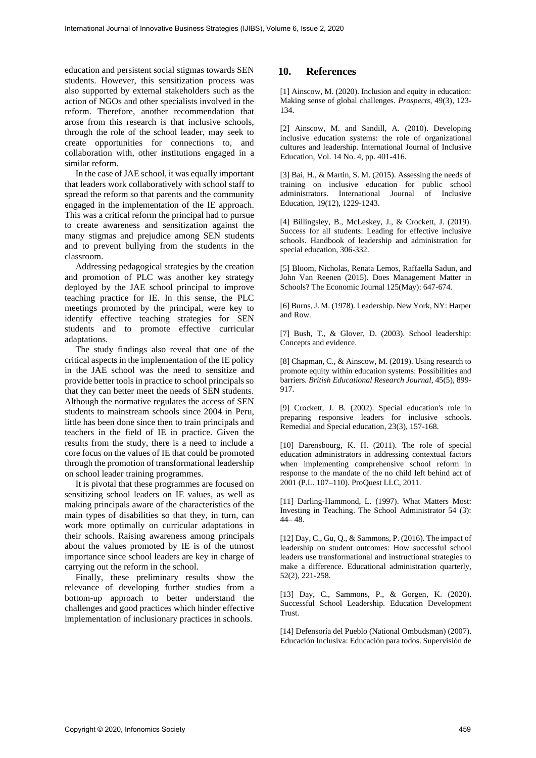education and persistent social stigmas towards SEN students. However, this sensitization process was also supported by external stakeholders such as the action of NGOs and other specialists involved in the reform. Therefore, another recommendation that arose from this research is that inclusive schools, through the role of the school leader, may seek to create opportunities for connections to, and collaboration with, other institutions engaged in a similar reform.

In the case of JAE school, it was equally important that leaders work collaboratively with school staff to spread the reform so that parents and the community engaged in the implementation of the IE approach. This was a critical reform the principal had to pursue to create awareness and sensitization against the many stigmas and prejudice among SEN students and to prevent bullying from the students in the classroom.

Addressing pedagogical strategies by the creation and promotion of PLC was another key strategy deployed by the JAE school principal to improve teaching practice for IE. In this sense, the PLC meetings promoted by the principal, were key to identify effective teaching strategies for SEN students and to promote effective curricular adaptations.

The study findings also reveal that one of the critical aspects in the implementation of the IE policy in the JAE school was the need to sensitize and provide better tools in practice to school principals so that they can better meet the needs of SEN students. Although the normative regulates the access of SEN students to mainstream schools since 2004 in Peru, little has been done since then to train principals and teachers in the field of IE in practice. Given the results from the study, there is a need to include a core focus on the values of IE that could be promoted through the promotion of transformational leadership on school leader training programmes.

It is pivotal that these programmes are focused on sensitizing school leaders on IE values, as well as making principals aware of the characteristics of the main types of disabilities so that they, in turn, can work more optimally on curricular adaptations in their schools. Raising awareness among principals about the values promoted by IE is of the utmost importance since school leaders are key in charge of carrying out the reform in the school.

Finally, these preliminary results show the relevance of developing further studies from a bottom-up approach to better understand the challenges and good practices which hinder effective implementation of inclusionary practices in schools.

# **10. References**

[1] Ainscow, M. (2020). Inclusion and equity in education: Making sense of global challenges. *Prospects*, 49(3), 123- 134.

[2] Ainscow, M. and Sandill, A. (2010). Developing inclusive education systems: the role of organizational cultures and leadership. International Journal of Inclusive Education, Vol. 14 No. 4, pp. 401-416.

[3] Bai, H., & Martin, S. M. (2015). Assessing the needs of training on inclusive education for public school administrators. International Journal of Inclusive Education, 19(12), 1229-1243.

[4] Billingsley, B., McLeskey, J., & Crockett, J. (2019). Success for all students: Leading for effective inclusive schools. Handbook of leadership and administration for special education, 306-332.

[5] Bloom, Nicholas, Renata Lemos, Raffaella Sadun, and John Van Reenen (2015). Does Management Matter in Schools? The Economic Journal 125(May): 647-674.

[6] Burns, J. M. (1978). Leadership. New York, NY: Harper and Row.

[7] Bush, T., & Glover, D. (2003). School leadership: Concepts and evidence.

[8] Chapman, C., & Ainscow, M. (2019). Using research to promote equity within education systems: Possibilities and barriers. *British Educational Research Journal*, 45(5), 899- 917.

[9] Crockett, J. B. (2002). Special education's role in preparing responsive leaders for inclusive schools. Remedial and Special education, 23(3), 157-168.

[10] Darensbourg, K. H. (2011). The role of special education administrators in addressing contextual factors when implementing comprehensive school reform in response to the mandate of the no child left behind act of 2001 (P.L. 107–110). ProQuest LLC, 2011.

[11] Darling-Hammond, L. (1997). What Matters Most: Investing in Teaching. The School Administrator 54 (3): 44– 48.

[12] Day, C., Gu, Q., & Sammons, P. (2016). The impact of leadership on student outcomes: How successful school leaders use transformational and instructional strategies to make a difference. Educational administration quarterly, 52(2), 221-258.

[13] Day, C., Sammons, P., & Gorgen, K. (2020). Successful School Leadership. Education Development Trust.

[14] Defensoría del Pueblo (National Ombudsman) (2007). Educación Inclusiva: Educación para todos. Supervisión de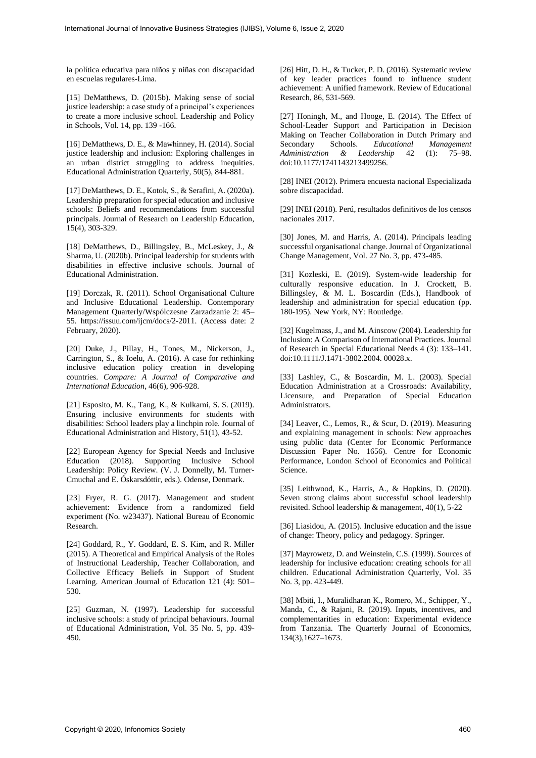la política educativa para niños y niñas con discapacidad en escuelas regulares-Lima.

[15] DeMatthews, D. (2015b). Making sense of social justice leadership: a case study of a principal's experiences to create a more inclusive school. Leadership and Policy in Schools, Vol. 14, pp. 139 -166.

[16] DeMatthews, D. E., & Mawhinney, H. (2014). Social justice leadership and inclusion: Exploring challenges in an urban district struggling to address inequities. Educational Administration Quarterly, 50(5), 844-881.

[17] DeMatthews, D. E., Kotok, S., & Serafini, A. (2020a). Leadership preparation for special education and inclusive schools: Beliefs and recommendations from successful principals. Journal of Research on Leadership Education, 15(4), 303-329.

[18] DeMatthews, D., Billingsley, B., McLeskey, J., & Sharma, U. (2020b). Principal leadership for students with disabilities in effective inclusive schools. Journal of Educational Administration.

[19] Dorczak, R. (2011). School Organisational Culture and Inclusive Educational Leadership. Contemporary Management Quarterly/Wspólczesne Zarzadzanie 2: 45– 55. https://issuu.com/ijcm/docs/2-2011. (Access date: 2 February, 2020).

[20] Duke, J., Pillay, H., Tones, M., Nickerson, J., Carrington, S., & Ioelu, A. (2016). A case for rethinking inclusive education policy creation in developing countries. *Compare: A Journal of Comparative and International Education*, 46(6), 906-928.

[21] Esposito, M. K., Tang, K., & Kulkarni, S. S. (2019). Ensuring inclusive environments for students with disabilities: School leaders play a linchpin role. Journal of Educational Administration and History, 51(1), 43-52.

[22] European Agency for Special Needs and Inclusive Education (2018). Supporting Inclusive School Leadership: Policy Review. (V. J. Donnelly, M. Turner-Cmuchal and E. Óskarsdóttir, eds.). Odense, Denmark.

[23] Fryer, R. G. (2017). Management and student achievement: Evidence from a randomized field experiment (No. w23437). National Bureau of Economic Research.

[24] Goddard, R., Y. Goddard, E. S. Kim, and R. Miller (2015). A Theoretical and Empirical Analysis of the Roles of Instructional Leadership, Teacher Collaboration, and Collective Efficacy Beliefs in Support of Student Learning. American Journal of Education 121 (4): 501– 530.

[25] Guzman, N. (1997). Leadership for successful inclusive schools: a study of principal behaviours. Journal of Educational Administration, Vol. 35 No. 5, pp. 439- 450.

[26] Hitt, D. H., & Tucker, P. D. (2016). Systematic review of key leader practices found to influence student achievement: A unified framework. Review of Educational Research, 86, 531-569.

[27] Honingh, M., and Hooge, E. (2014). The Effect of School-Leader Support and Participation in Decision Making on Teacher Collaboration in Dutch Primary and Secondary Schools. *Educational Management Administration & Leadership* 42 (1): 75–98. doi:10.1177/1741143213499256.

[28] INEI (2012). Primera encuesta nacional Especializada sobre discapacidad.

[29] INEI (2018). Perú, resultados definitivos de los censos nacionales 2017.

[30] Jones, M. and Harris, A. (2014). Principals leading successful organisational change. Journal of Organizational Change Management, Vol. 27 No. 3, pp. 473-485.

[31] Kozleski, E. (2019). System-wide leadership for culturally responsive education. In J. Crockett, B. Billingsley, & M. L. Boscardin (Eds.), Handbook of leadership and administration for special education (pp. 180-195). New York, NY: Routledge.

[32] Kugelmass, J., and M. Ainscow (2004). Leadership for Inclusion: A Comparison of International Practices. Journal of Research in Special Educational Needs 4 (3): 133–141. doi:10.1111/J.1471-3802.2004. 00028.x.

[33] Lashley, C., & Boscardin, M. L. (2003). Special Education Administration at a Crossroads: Availability, Licensure, and Preparation of Special Education Administrators.

[34] Leaver, C., Lemos, R., & Scur, D. (2019). Measuring and explaining management in schools: New approaches using public data (Center for Economic Performance Discussion Paper No. 1656). Centre for Economic Performance, London School of Economics and Political Science.

[35] Leithwood, K., Harris, A., & Hopkins, D. (2020). Seven strong claims about successful school leadership revisited. School leadership & management, 40(1), 5-22

[36] Liasidou, A. (2015). Inclusive education and the issue of change: Theory, policy and pedagogy. Springer.

[37] Mayrowetz, D. and Weinstein, C.S. (1999). Sources of leadership for inclusive education: creating schools for all children. Educational Administration Quarterly, Vol. 35 No. 3, pp. 423-449.

[38] Mbiti, I., Muralidharan K., Romero, M., Schipper, Y., Manda, C., & Rajani, R. (2019). Inputs, incentives, and complementarities in education: Experimental evidence from Tanzania. The Quarterly Journal of Economics, 134(3),1627–1673.